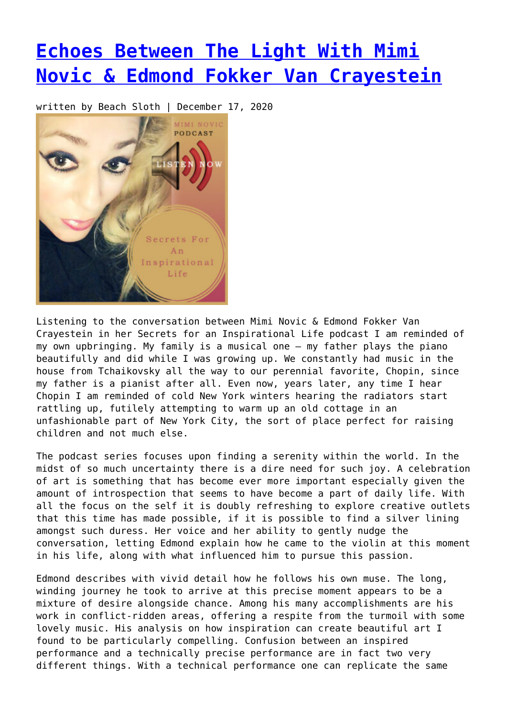## **[Echoes Between The Light With Mimi](https://entropymag.org/echoes-between-the-light-with-mimi-novic-edmond-fokker-van-crayestein/) [Novic & Edmond Fokker Van Crayestein](https://entropymag.org/echoes-between-the-light-with-mimi-novic-edmond-fokker-van-crayestein/)**

written by Beach Sloth | December 17, 2020



Listening to the conversation between Mimi Novic & Edmond Fokker Van Crayestein in her Secrets for an Inspirational Life podcast I am reminded of my own upbringing. My family is a musical one – my father plays the piano beautifully and did while I was growing up. We constantly had music in the house from Tchaikovsky all the way to our perennial favorite, Chopin, since my father is a pianist after all. Even now, years later, any time I hear Chopin I am reminded of cold New York winters hearing the radiators start rattling up, futilely attempting to warm up an old cottage in an unfashionable part of New York City, the sort of place perfect for raising children and not much else.

The podcast series focuses upon finding a serenity within the world. In the midst of so much uncertainty there is a dire need for such joy. A celebration of art is something that has become ever more important especially given the amount of introspection that seems to have become a part of daily life. With all the focus on the self it is doubly refreshing to explore creative outlets that this time has made possible, if it is possible to find a silver lining amongst such duress. Her voice and her ability to gently nudge the conversation, letting Edmond explain how he came to the violin at this moment in his life, along with what influenced him to pursue this passion.

Edmond describes with vivid detail how he follows his own muse. The long, winding journey he took to arrive at this precise moment appears to be a mixture of desire alongside chance. Among his many accomplishments are his work in conflict-ridden areas, offering a respite from the turmoil with some lovely music. His analysis on how inspiration can create beautiful art I found to be particularly compelling. Confusion between an inspired performance and a technically precise performance are in fact two very different things. With a technical performance one can replicate the same